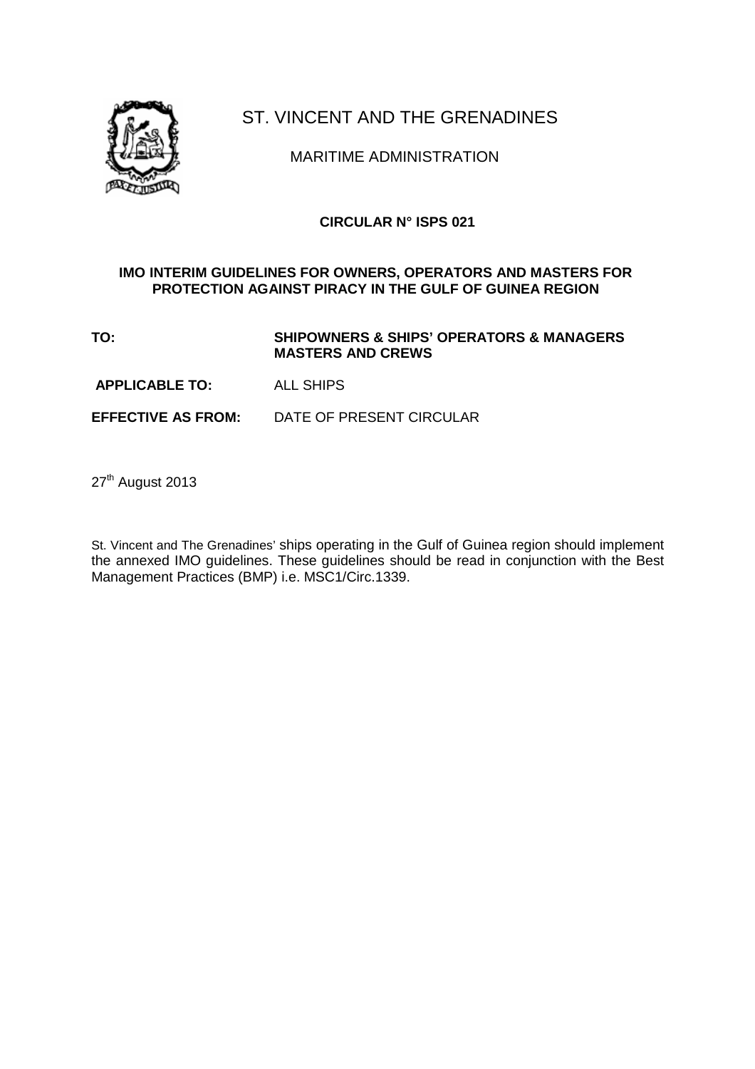

# ST. VINCENT AND THE GRENADINES

MARITIME ADMINISTRATION

## **CIRCULAR N° ISPS 021**

#### **IMO INTERIM GUIDELINES FOR OWNERS, OPERATORS AND MASTERS FOR PROTECTION AGAINST PIRACY IN THE GULF OF GUINEA REGION**

**TO: SHIPOWNERS & SHIPS' OPERATORS & MANAGERS MASTERS AND CREWS** 

 **APPLICABLE TO:** ALL SHIPS

**EFFECTIVE AS FROM:** DATE OF PRESENT CIRCULAR

27<sup>th</sup> August 2013

St. Vincent and The Grenadines' ships operating in the Gulf of Guinea region should implement the annexed IMO guidelines. These guidelines should be read in conjunction with the Best Management Practices (BMP) i.e. MSC1/Circ.1339.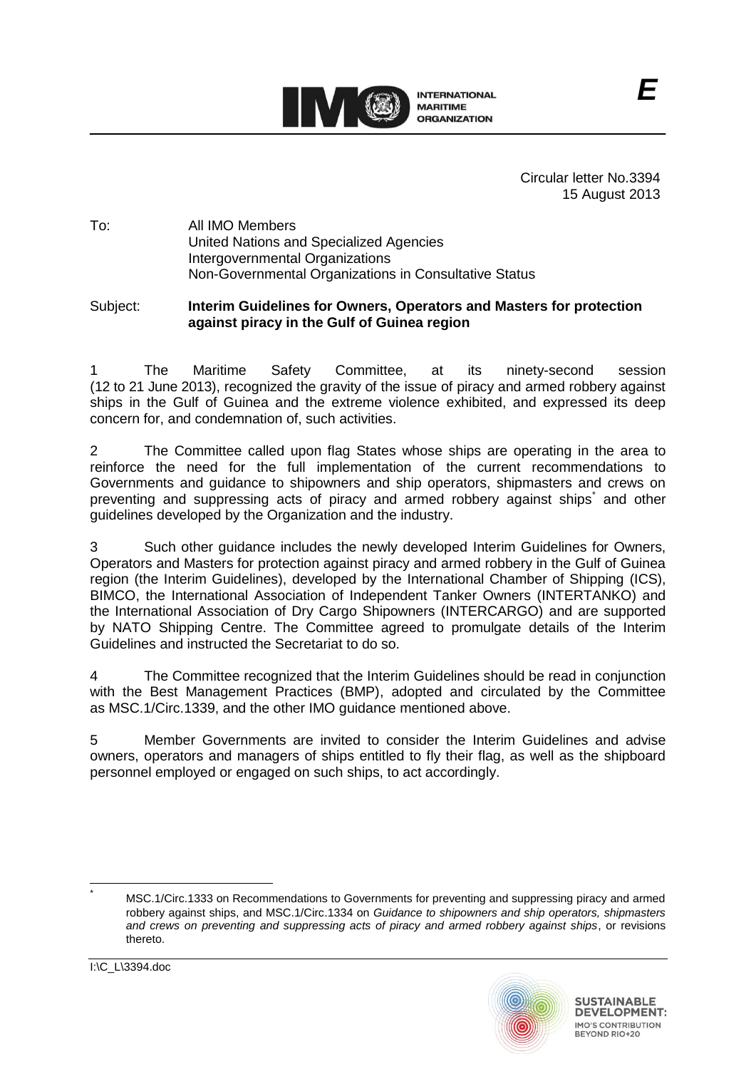

Circular letter No.3394 15 August 2013

### To: All IMO Members United Nations and Specialized Agencies Intergovernmental Organizations Non-Governmental Organizations in Consultative Status

#### Subject: **Interim Guidelines for Owners, Operators and Masters for protection against piracy in the Gulf of Guinea region**

1 The Maritime Safety Committee, at its ninety-second session (12 to 21 June 2013), recognized the gravity of the issue of piracy and armed robbery against ships in the Gulf of Guinea and the extreme violence exhibited, and expressed its deep concern for, and condemnation of, such activities.

2 The Committee called upon flag States whose ships are operating in the area to reinforce the need for the full implementation of the current recommendations to Governments and guidance to shipowners and ship operators, shipmasters and crews on preventing and suppressing acts of piracy and armed robbery against ships<sup>\*</sup> and other guidelines developed by the Organization and the industry.

3 Such other guidance includes the newly developed Interim Guidelines for Owners, Operators and Masters for protection against piracy and armed robbery in the Gulf of Guinea region (the Interim Guidelines), developed by the International Chamber of Shipping (ICS), BIMCO, the International Association of Independent Tanker Owners (INTERTANKO) and the International Association of Dry Cargo Shipowners (INTERCARGO) and are supported by NATO Shipping Centre. The Committee agreed to promulgate details of the Interim Guidelines and instructed the Secretariat to do so.

4 The Committee recognized that the Interim Guidelines should be read in conjunction with the Best Management Practices (BMP), adopted and circulated by the Committee as MSC.1/Circ.1339, and the other IMO guidance mentioned above.

5 Member Governments are invited to consider the Interim Guidelines and advise owners, operators and managers of ships entitled to fly their flag, as well as the shipboard personnel employed or engaged on such ships, to act accordingly.

MSC.1/Circ.1333 on Recommendations to Governments for preventing and suppressing piracy and armed robbery against ships, and MSC.1/Circ.1334 on *Guidance to shipowners and ship operators, shipmasters and crews on preventing and suppressing acts of piracy and armed robbery against ships*, or revisions thereto.